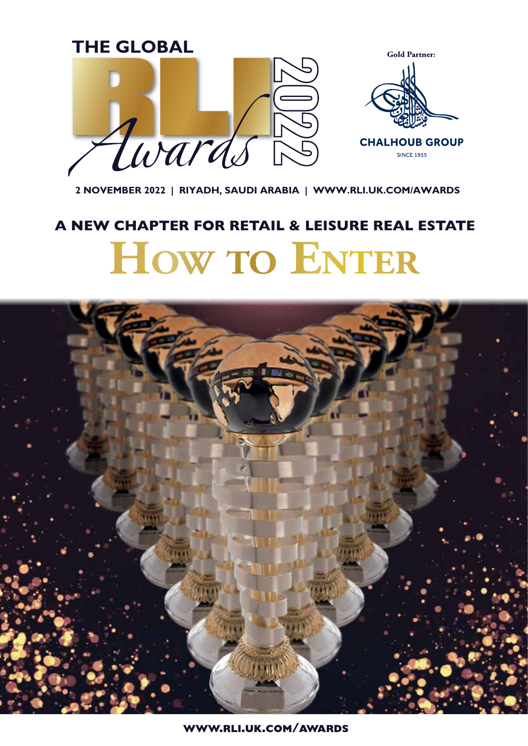

**2 NOVEMBER 2022 | RIYADH, SAUDI ARABIA | WWW.RLI.UK.COM/AWARDS**

## **How TO ENTER** A NEW CHAPTER FOR RETAIL & LEISURE REAL ESTATE



www.rli.uk.com/awards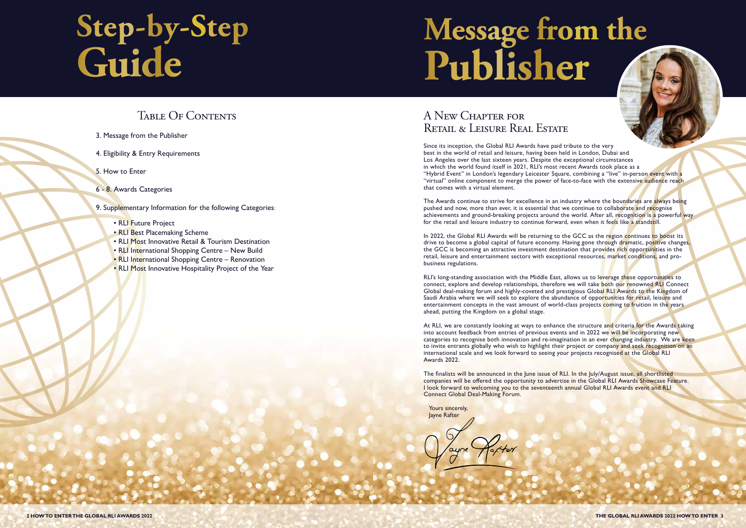#### Table Of Contents

- RLI Future Project
- RLI Best Placemaking Scheme
- RLI Most Innovative Retail & Tourism Destination
- RLI International Shopping Centre New Build
- RLI International Shopping Centre Renovation
- RLI Most Innovative Hospitality Project of the Year
- 3. Message from the Publisher
- 4. Eligibility & Entry Requirements
- 5. How to Enter
- 6 8. Awards Categories

9. Supplementary Information for the following Categories:

#### A New Chapter for Retail & Leisure Real Estate

Since its inception, the Global RLI Awards have paid tribute to the very best in the world of retail and leisure, having been held in London, Dubai and Los Angeles over the last sixteen years. Despite the exceptional circumstances in which the world found itself in 2021, RLI's most recent Awards took place as a "Hybrid Event" in London's legendary Leicester Square, combining a "live" in-person event with a "virtual" online component to merge the power of face-to-face with the extensive audience reach that comes with a virtual element.

The Awards continue to strive for excellence in an industry where the boundaries are always being pushed and now, more than ever, it is essential that we continue to collaborate and recognise achievements and ground-breaking projects around the world. After all, recognition is a powerful way for the retail and leisure industry to continue forward, even when it feels like a standstill.

In 2022, the Global RLI Awards will be returning to the GCC as the region continues to boost its drive to become a global capital of future economy. Having gone through dramatic, positive changes, the GCC is becoming an attractive investment destination that provides rich opportunities in the retail, leisure and entertainment sectors with exceptional resources, market conditions, and probusiness regulations.

RLI's long-standing association with the Middle East, allows us to leverage these opportunities to connect, explore and develop relationships, therefore we will take both our renowned RLI Connect Global deal-making forum and highly-coveted and prestigious Global RLI Awards to the Kingdom of Saudi Arabia where we will seek to explore the abundance of opportunities for retail, leisure and entertainment concepts in the vast amount of world-class projects coming to fruition in the years ahead, putting the Kingdom on a global stage.

The finalists will be announced in the June issue of RLI. In the July/August issue, all shortlisted companies will be offered the opportunity to advertise in the Global RLI Awards Showcase Feature. I look forward to welcoming you to the seventeenth annual Global RLI Awards event and RLI Connect Global Deal-Making Forum.

Yours sincerely, Jayne Rafter

At RLI, we are constantly looking at ways to enhance the structure and criteria for the Awards taking into account feedback from entries of previous events and in 2022 we will be incorporating new categories to recognise both innovation and re-imagination in an ever changing industry. We are keen to invite entrants globally who wish to highlight their project or company and seek recognition on an international scale and we look forward to seeing your projects recognised at the Global RLI Awards 2022.

# **Message from the Publisher**

# **Step-by-Step Guide**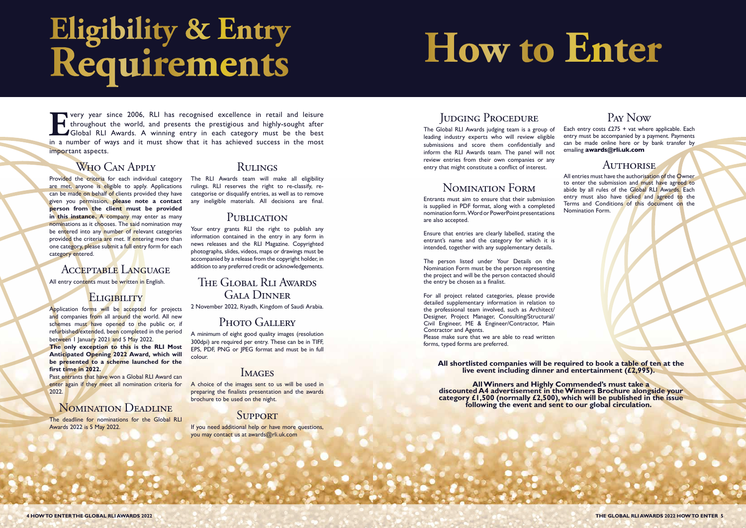## **Eligibility & Entry Requirements**

**EVERICE 1989** very year since 2006, RLI has recognised excellence in retail and leisure throughout the world, and presents the prestigious and highly-sought after Global RLI Awards. A winning entry in each category must b throughout the world, and presents the prestigious and highly-sought after Global RLI Awards. A winning entry in each category must be the best in a number of ways and it must show that it has achieved success in the most important aspects.

### W<sub>HO</sub> CAN APPLY

Application forms will be accepted for projects and companies from all around the world. All new schemes must have opened to the public or, if refurbished/extended, been completed in the period between 1 January 2021 and 5 May 2022.

Provided the criteria for each individual category are met, anyone is eligible to apply. Applications can be made on behalf of clients provided they have given you permission, **please note a contact person from the client must be provided**  in this instance. A company may enter as many nominations as it chooses. The said nomination may be entered into any number of relevant categories provided the criteria are met. If entering more than one category, please submit a full entry form for each category entered.

#### Acceptable Language

All entry contents must be written in English.

#### ELIGIBILITY

Your entry grants RLI the right to publish any information contained in the entry in any form in news releases and the RLI Magazine. Copyrighted photographs, slides, videos, maps or drawings must be accompanied by a release from the copyright holder, in addition to any preferred credit or acknowledgements.

If you need additional help or have more questions, you may contact us at awards@rli.uk.com

#### JUDGING PROCEDURE

**The only exception to this is the RLI Most Anticipated Opening 2022 Award, which will be presented to a scheme launched for the first time in 2022.**

Past entrants that have won a Global RLI Award can enter again if they meet all nomination criteria for 2022.

#### NOMINATION DEADLINE

The deadline for nominations for the Global RLI Awards 2022 is 5 May 2022.

#### **RULINGS**

The RLI Awards team will make all eligibility rulings. RLI reserves the right to re-classify, recategorise or disqualify entries, as well as to remove any ineligible materials. All decisions are final.

#### PUBLICATION

#### The Global Rli Awards Gala Dinner

2 November 2022, Riyadh, Kingdom of Saudi Arabia.

#### Photo Gallery

A minimum of eight good quality images (resolution 300dpi) are required per entry. These can be in TIFF, EPS, PDF, PNG or JPEG format and must be in full colour.

#### **IMAGES**

A choice of the images sent to us will be used in preparing the finalists presentation and the awards brochure to be used on the night.

#### **SUPPORT**

The Global RLI Awards judging team is a group of leading industry experts who will review eligible submissions and score them confidentially and inform the RLI Awards team. The panel will not review entries from their own companies or any entry that might constitute a conflict of interest.

#### Nomination Form

Entrants must aim to ensure that their submission is supplied in PDF format, along with a completed nomination form. Word or PowerPoint presentations are also accepted.

Ensure that entries are clearly labelled, stating the entrant's name and the category for which it is intended, together with any supplementary details.

The person listed under Your Details on the Nomination Form must be the person representing the project and will be the person contacted should the entry be chosen as a finalist.

For all project related categories, please provide detailed supplementary information in relation to the professional team involved, such as Architect/ Designer, Project Manager, Consulting/Structural/ Civil Engineer, ME & Engineer/Contractor, Main Contractor and Agents.

Please make sure that we are able to read written forms, typed forms are preferred.

#### Pay Now

Each entry costs  $£275 + vat$  where applicable. Each entry must be accompanied by a payment. Payments can be made online here or by bank transfer by emailing awards@rli.uk.com

#### AUTHORISE

All entries must have the authorisation of the Owner to enter the submission and must have agreed to abide by all rules of the Global RLI Awards. Each entry must also have ticked and agreed to the Terms and Conditions of this document on the Nomination Form.

**How to Enter**

**All shortlisted companies will be required to book a table of ten at the live event including dinner and entertainment (£2,995).** 

**All Winners and Highly Commended's must take a discounted A4 advertisement in the Winners Brochure alongside your category £1,500 (normally £2,500), which will be published in the issue following the event and sent to our global circulation.**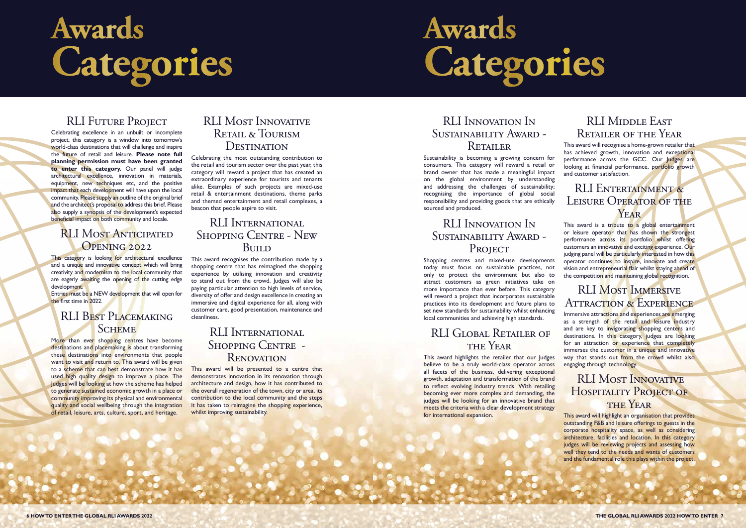

### RLI Most Anticipated OPENING 2022

Celebrating excellence in an unbuilt or incomplete project, this category is a window into tomorrow's world-class destinations that will challenge and inspire the future of retail and leisure. **Please note full planning permission must have been granted to enter this category.** Our panel will judge architectural excellence, innovation in materials, equipment, new techniques etc, and the positive impact that each development will have upon the local community. Please supply an outline of the original brief and the architect's proposal to address this brief. Please also supply a synopsis of the development's expected beneficial impact on both community and locale.

This category is looking for architectural excellence and a unique and innovative concept which will bring creativity and modernism to the local community that are eagerly awaiting the opening of the cutting edge development.

#### RLI Best Placemaking **SCHEME**

More than ever shopping centres have become destinations and placemaking is about transforming these destinations into environments that people want to visit and return to. This award will be given to a scheme that can best demonstrate how it has used high quality design to improve a place. The Judges will be looking at how the scheme has helped to generate sustained economic growth in a place or community improving its physical and environmental quality and social wellbeing through the integration of retail, leisure, arts, culture, sport, and heritage.

#### RLI Most Innovative Retail & Tourism **DESTINATION**

#### RLI International Shopping Centre - New **BUILD**

Entries must be a NEW development that will open for the first time in 2022.

#### RLI International SHOPPING CENTRE -**RENOVATION**

This award will be presented to a centre that demonstrates innovation in its renovation through architecture and design, how it has contributed to the overall regeneration of the town, city or area, its contribution to the local community and the steps it has taken to reimagine the shopping experience, whilst improving sustainability.

#### RLI Innovation In Sustainability Award - PROJECT

Celebrating the most outstanding contribution to the retail and tourism sector over the past year, this category will reward a project that has created an extraordinary experience for tourists and tenants alike. Examples of such projects are mixed-use retail & entertainment destinations, theme parks and themed entertainment and retail complexes, a beacon that people aspire to visit.

> This award highlights the retailer that our Judges believe to be a truly world-class operator across all facets of the business, delivering exceptional growth, adaptation and transformation of the brand to reflect evolving industry trends. With retailing becoming ever more complex and demanding, the judges will be looking for an innovative brand that meets the criteria with a clear development strategy for international expansion.

#### RLI MIDDLE EAST Retailer of the Year

#### RLI Entertainment & LEISURE OPERATOR OF THE YEAR

This award is a tribute to a global entertainment or leisure operator that has shown the strongest performance across its portfolio whilst offering customers an innovative and exciting experience. Our judging panel will be particularly interested in how this operator continues to inspire, innovate and create vision and entrepreneurial flair whilst staying ahead of the competition and maintaining global recognition.

This award recognises the contribution made by a shopping centre that has reimagined the shopping experience by utilising innovation and creativity to stand out from the crowd. Judges will also be paying particular attention to high levels of service, diversity of offer and design excellence in creating an immersive and digital experience for all, along with customer care, good presentation, maintenance and cleanliness.

#### RLI Most Immersive ATTRACTION & EXPERIENCE

#### RLI Most Innovative HOSPITALITY PROJECT OF THE YEAR

## **Awards Categories**

#### RLI Innovation In Sustainability Award - Retailer

Sustainability is becoming a growing concern for consumers. This category will reward a retail or brand owner that has made a meaningful impact on the global environment by understanding and addressing the challenges of sustainability; recognising the importance of global social responsibility and providing goods that are ethically sourced and produced.

Shopping centres and mixed-use developments today must focus on sustainable practices, not only to protect the environment but also to attract customers as green initiatives take on more importance than ever before. This category will reward a project that incorporates sustainable practices into its development and future plans to set new standards for sustainability whilst enhancing local communities and achieving high standards.

#### RLI Global Retailer of the Year

This award will recognise a home-grown retailer that has achieved growth, innovation and exceptional performance across the GCC. Our Judges are looking at financial performance, portfolio growth and customer satisfaction.

Immersive attractions and experiences are emerging as a strength of the retail and leisure industry and are key to invigorating shopping centers and destinations. In this category, judges are looking for an attraction or experience that completely immerses the customer in a unique and innovative way that stands out from the crowd whilst also engaging through technology.

This award will highlight an organisation that provides outstanding F&B and leisure offerings to guests in the corporate hospitality space, as well as considering architecture, facilities and location. In this category judges will be reviewing projects and assessing how well they tend to the needs and wants of customers and the fundamental role this plays within the project.

# **Awards Categories**

#### RLI FUTURE PROJECT